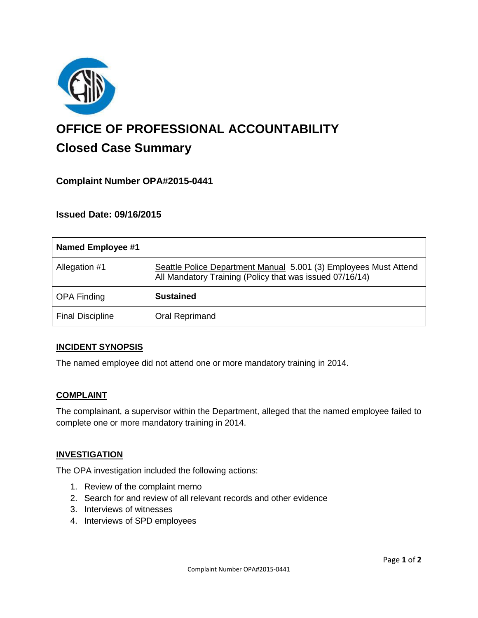

# **OFFICE OF PROFESSIONAL ACCOUNTABILITY Closed Case Summary**

## **Complaint Number OPA#2015-0441**

## **Issued Date: 09/16/2015**

| Named Employee #1       |                                                                                                                              |
|-------------------------|------------------------------------------------------------------------------------------------------------------------------|
| Allegation #1           | Seattle Police Department Manual 5.001 (3) Employees Must Attend<br>All Mandatory Training (Policy that was issued 07/16/14) |
| <b>OPA Finding</b>      | <b>Sustained</b>                                                                                                             |
| <b>Final Discipline</b> | Oral Reprimand                                                                                                               |

#### **INCIDENT SYNOPSIS**

The named employee did not attend one or more mandatory training in 2014.

#### **COMPLAINT**

The complainant, a supervisor within the Department, alleged that the named employee failed to complete one or more mandatory training in 2014.

#### **INVESTIGATION**

The OPA investigation included the following actions:

- 1. Review of the complaint memo
- 2. Search for and review of all relevant records and other evidence
- 3. Interviews of witnesses
- 4. Interviews of SPD employees